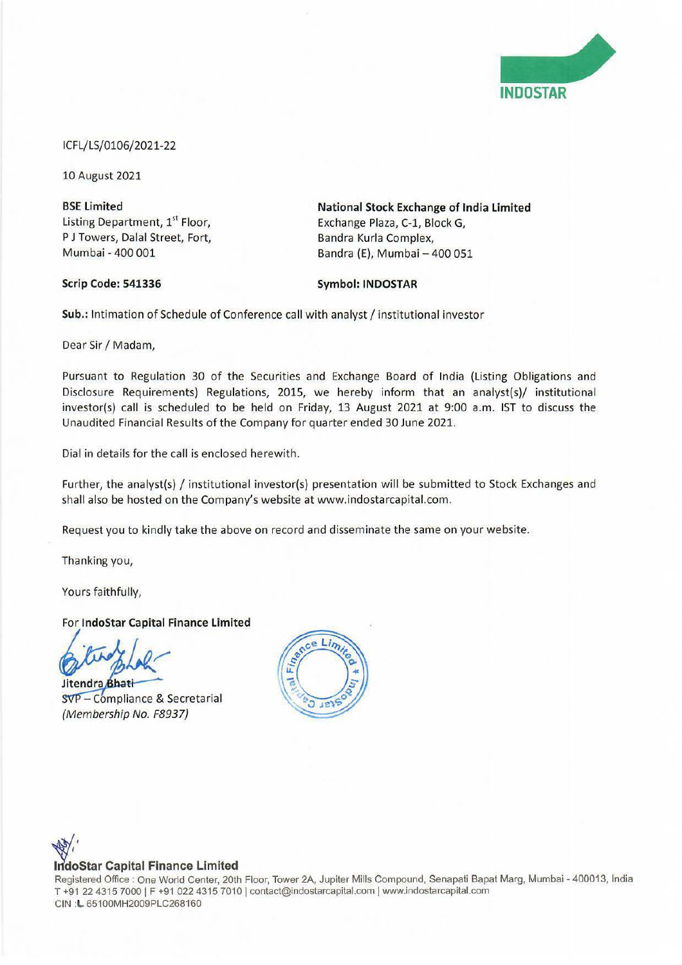

## ICFL/LS/0106/2021-22

10 August 2021

**BSE limited**  Listing Department, 1<sup>st</sup> Floor, P J Towers, Dalal Street, Fort, Mumbai - 400 001

**Scrip Code: 541336** 

**National Stock Exchange of India limited**  Exchange Plaza, C-1, Block G, Bandra Kurla Complex, Bandra (E), Mumbai - 400 051

## **Symbol: INDOSTAR**

Sub.: Intimation of Schedule of Conference call with analyst / institutional investor

Dear Sir/ Madam,

Pursuant to Regulation 30 of the Securities and Exchange Board of India (Listing Obligations and Disclosure Requirements) Regulations, 2015, we hereby inform that an analyst(s)/ institutional investor(s) call is scheduled to be held on Friday, 13 August 2021 at 9:00 a.m. 1ST to discuss the Unaudited Financial Results of the Company for quarter ended 30 June 2021.

Dial in details for the call is enclosed herewith.

Further, the analyst(s) / institutional investor(s) presentation will be submitted to Stock Exchanges and shall also be hosted on the Company's website at www.indostarcapital.com.

Request you to kindly take the above on record and disseminate the same on your website.

Thanking you,

Yours faithfully,

For **lndoStar Capital Finance limited** 

Jitendra Bhati

SVP - Compliance & Secretarial {Membership No. F8937)



## **IndoStar Capital Finance Limited**

Registered Office: One World Center, 20th Floor, Tower 2A, Jupiter Mills Compound, Senapali Bapat Marg, Mumbai - 400013, India T +91 22 4315 7000 | F +91 022 4315 7010 | contact@indostarcapital.com | www.indostarcapital.com CIN **:L** 65100MH2009PLC268160